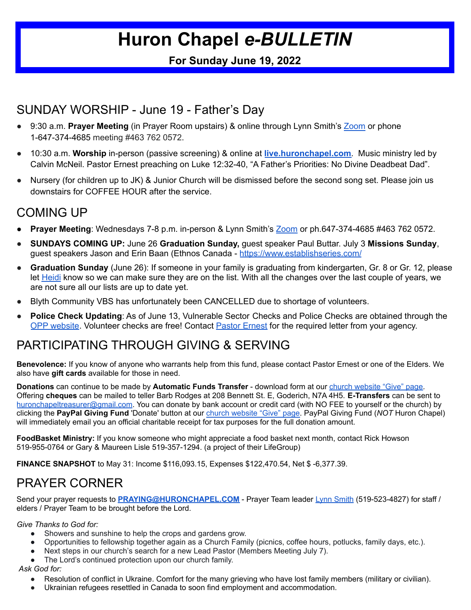# **Huron Chapel** *e-BULLETIN*

#### **For Sunday June 19, 2022**

### SUNDAY WORSHIP - June 19 - Father's Day

- 9:30 a.m. **Prayer Meeting** (in Prayer Room upstairs) & online through Lynn Smith's [Zoom](https://us02web.zoom.us/j/4637620572) or phone 1-647-374-4685 meeting #463 762 0572.
- 10:30 a.m. **Worship** in-person (passive screening) & online at **[live.huronchapel.com](https://live.huronchapel.com)**. Music ministry led by Calvin McNeil. Pastor Ernest preaching on Luke 12:32-40, "A Father's Priorities: No Divine Deadbeat Dad".
- Nursery (for children up to JK) & Junior Church will be dismissed before the second song set. Please join us downstairs for COFFEE HOUR after the service.

## COMING UP

- **Prayer Meeting**: Wednesdays 7-8 p.m. in-person & Lynn Smith's [Zoom](https://us02web.zoom.us/j/4637620572) or ph.647-374-4685 #463 762 0572.
- **SUNDAYS COMING UP:** June 26 **Graduation Sunday,** guest speaker Paul Buttar. July 3 **Missions Sunday**, guest speakers Jason and Erin Baan (Ethnos Canada - [https://www.establishseries.com/](https://goo.gl/maps/Qg4pL7wd59U6w5gg7)
- **Graduation Sunday** (June 26): If someone in your family is graduating from kindergarten, Gr. 8 or Gr. 12, please let [Heidi](mailto:office@huronchapel.com) know so we can make sure they are on the list. With all the changes over the last couple of years, we are not sure all our lists are up to date yet.
- Blyth Community VBS has unfortunately been CANCELLED due to shortage of volunteers.
- **Police Check Updating:** As of June 13, Vulnerable Sector Checks and Police Checks are obtained through the OPP [website](https://www.opp.ca/index.php?id=147). Volunteer checks are free! Contact **Pastor [Ernest](mailto:pastorernest@huronchapel.com)** for the required letter from your agency.

#### PARTICIPATING THROUGH GIVING & SERVING

**Benevolence:** If you know of anyone who warrants help from this fund, please contact Pastor Ernest or one of the Elders. We also have **gift cards** available for those in need.

**Donations** can continue to be made by **Automatic Funds Transfer** - download form at our church [website](https://www.huronchapel.com/give) "Give" page. Offering **cheques** can be mailed to teller Barb Rodges at 208 Bennett St. E, Goderich, N7A 4H5. **E-Transfers** can be sent to huronchapeltreasurer@gmail.com. You can donate by bank account or credit card (with NO FEE to yourself or the church) by clicking the **PayPal Giving Fund** 'Donate' button at our church [website](https://www.huronchapel.com/give) "Give" page. PayPal Giving Fund (*NOT* Huron Chapel) will immediately email you an official charitable receipt for tax purposes for the full donation amount.

**FoodBasket Ministry:** If you know someone who might appreciate a food basket next month, contact Rick Howson 519-955-0764 or Gary & Maureen Lisle 519-357-1294. (a project of their LifeGroup)

**FINANCE SNAPSHOT** to May 31: Income \$116,093.15, Expenses \$122,470.54, Net \$ -6,377.39.

### PRAYER CORNER

Send your prayer requests to **[PRAYING@HURONCHAPEL.COM](mailto:PRAYING@HURONCHAPEL.COM)** - Prayer Team leader Lynn Smith (519-523-4827) for staff / elders / Prayer Team to be brought before the Lord.

#### *Give Thanks to God for:*

- Showers and sunshine to help the crops and gardens grow.
- Opportunities to fellowship together again as a Church Family (picnics, coffee hours, potlucks, family days, etc.).
- Next steps in our church's search for a new Lead Pastor (Members Meeting July 7).
- The Lord's continued protection upon our church family.

*Ask God for:*

- Resolution of conflict in Ukraine. Comfort for the many grieving who have lost family members (military or civilian).
- Ukrainian refugees resettled in Canada to soon find employment and accommodation.